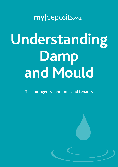my deposits.co.uk

# **Understanding Damp and Mould**

Tips for agents, landlords and tenants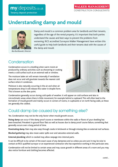# **Understanding damp and mould**



my deposits.co.uk

**Tenancy deposit protection** 

*Ben Burlikowski, Director*

Damp and mould is a common problem area for landlords and their tenants, regardless of the age of the rental property. It's important that both parties understand the causes and best ways to prevent the problems from worsening. RICS accredited Surveyors Walker Management have written this useful guide to help both landlords and their tenants deal with the causes of the damp and mould.

## Condensation

Condensation occurs in a dwelling when warm moist air produced by ordinary activities such as showering or cooking meets a cold surface such as an external wall or window.

The moisture laden air will remain internally if ventilation does not occur and will gravitate towards the nearest cold surface where it condenses.

Moisture is also naturally occurring in the air and when air temperatures drop it will release this water in droplet form. This is known as the dew point.



Condensation generally occurs during cold spells of weather. It will appear on cold surfaces and also in microclimatic areas where there is little movement; for example behind a cupboard. This will often lead to the formation of mould growth and mainly occurs in corners of rooms, in cupboards or on north facing walls, as these are generally the coldest.

## Could damp be caused by something else?

Yes. Condensation may not be the only factor when mould growth occurs.

**Rising damp** can occur if the damp proof course or membrane within the walls or floors of your dwelling has been breached. Prevalent in ground floor flats as well as houses due to damp proof course failure, something that generally occurs over a long period of time.

**Penetrating damp**. Rain may also seep through cracks in brickwork or through missing tiles on external roof surfaces.

**Blocked guttering** may also mean water spills over and saturates external walls.

**External plumbing** which is cracked may allow seepage into internal parts.

It can be difficult to be certain of the exact cause of any dampness and so unless you are sure it may be wise to contact an RICS qualified surveyor or an experienced contractor who has experience working in this particular area.

Condensation will not be limited to certain areas and may cause growth in different areas of a room and you may also notice furniture and clothing becomes affected.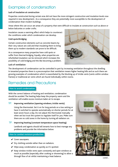## Examples of condensation

### **Lack of insulation at construction**

Properties constructed during certain eras did not have the more stringent construction and insulation levels now required in new development. As a consequence they are potentially more susceptible to the development of condensation than modern buildings.

Areas where this can occur are areas of a property that were difficult to insulate at construction such as above or below balconies or under crofts.

Insulation causes a warming effect which helps to counteract the conditions under which condensation can develop.

## **Cold spots/bridging**

Certain construction elements such as concrete beams by their very nature are cold and that insulating them to bring them up to modern standards can prove to be difficult.

As a consequence many properties have cold spots or suffer from thermal bridging. Equally, when properties are refurbished insulation can be removed which increases the possibility of cold bridging and the like becoming a problem.



#### **Lack of ventilation**

The development of condensation can be controlled in part by increasing ventilation throughout the dwelling. In tenanted properties there is a preconception that ventilation means higher heating bills and as such there are growing examples of condensation which is exacerbated by the blocking up of trickle vents (vents within window frames) or traditional air vents which are found individually within rooms.

## Remedies and Precautions

#### **How to avoid condensation**

With the correct balance of heating and ventilation, condensation should be avoided. The heating helps keep the property warm and the ventilation will enable excess moisture laden air to escape.

TIP: **Improving ventilation (opening windows, trickle vents).**

 Using the thermostat. Set it on for long periods on a low setting or have it switched to operate automatically on shorter periods for at least seven hours a day. Do not adjust the thermostat manually when set but trust the system to regulate itself for you. Make sure there are no cold zones in the home by turning all radiators on.

TIP: **Improving heating (constant temperature space heating).**

 Landlords and agents should tell tenants how to best manage any problems and provide the information below:

#### **How to combat moisture production**

- $\checkmark$  Cover saucepans.
- $\vee$  Dry clothing outside rather than on radiators.
- $\vee$  Wipe away condensation as quickly as it's spotted.
- $\checkmark$  Keep window trickle vents open constantly and open windows as much as possible (especially after cooking or showering) to allow a through flow of air whilst maintaining a heat balance.<br>
contd...